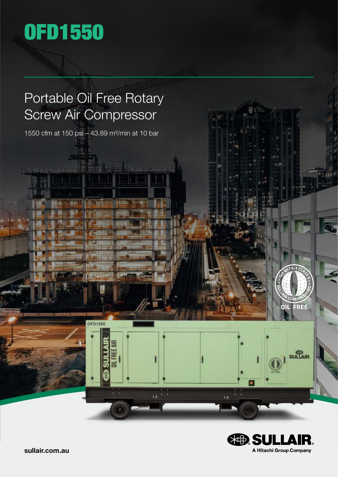

**KATIL** 

### Portable Oil Free Rotary Screw Air Compressor

1550 cfm at 150 psi - 43.89 m<sup>3</sup>/min at 10 bar

**OFD1550** 

**MEER** 

 $\omega$ 

道施



i'n

**OIL FREE** 

SULLAIR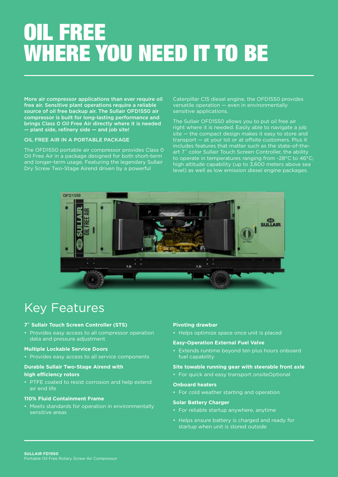## OIL FREE WHERE YOU NEED IT TO BE

More air compressor applications than ever require oil free air. Sensitive plant operations require a reliable source of oil free backup air. The Sullair OFD1550 air compressor is built for long-lasting performance and brings Class 0 Oil Free Air directly where it is needed — plant side, refinery side — and job site!

### OIL FREE AIR IN A PORTABLE PACKAGE

The OFD1550 portable air compressor provides Class 0 Oil Free Air in a package designed for both short-term and longer-term usage. Featuring the legendary Sullair Dry Screw Two-Stage Airend driven by a powerful

Caterpillar C15 diesel engine, the OFD1550 provides versatile operation — even in environmentally sensitive applications.

The Sullair OFD1550 allows you to put oil free air right where it is needed. Easily able to navigate a job site — the compact design makes it easy to store and transport — at your lot or at offsite customers. Plus it includes features that matter such as the state-of-theart 7˝ color Sullair Touch Screen Controller, the ability to operate in temperatures ranging from -28°C to 46°C; high altitude capability (up to 3,600 meters above sea level) as well as low emission diesel engine packages.



### Key Features

### **7˝ Sullair Touch Screen Controller (STS)**

• Provides easy access to all compressor operation data and pressure adjustment

### **Multiple Lockable Service Doors**

• Provides easy access to all service components

### **Durable Sullair Two-Stage Airend with**

### **high efficiency rotors**

• PTFE coated to resist corrosion and help extend air end life

### **110% Fluid Containment Frame**

• Meets standards for operation in environmentally sensitive areas

### **Pivoting drawbar**

• Helps optimize space once unit is placed

### **Easy-Operation External Fuel Valve**

• Extends runtime beyond ten plus hours onboard fuel capability

### **Site towable running gear with steerable front axle**

• For quick and easy transport onsiteOptional

#### **Onboard heaters**

• For cold weather starting and operation

#### **Solar Battery Charger**

- For reliable startup anywhere, anytime
- Helps ensure battery is charged and ready for startup when unit is stored outside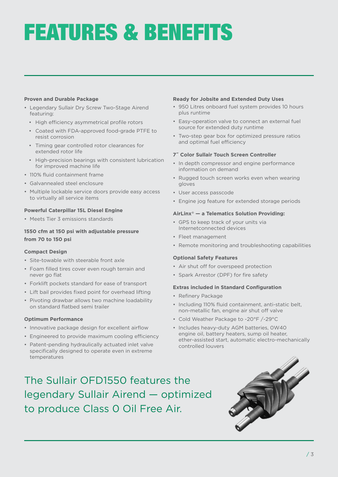## FEATURES & BENEFITS

### **Proven and Durable Package**

- Legendary Sullair Dry Screw Two-Stage Airend featuring:
	- High efficiency asymmetrical profile rotors
	- Coated with FDA-approved food-grade PTFE to resist corrosion
	- Timing gear controlled rotor clearances for extended rotor life
	- High-precision bearings with consistent lubrication for improved machine life
- 110% fluid containment frame
- Galvannealed steel enclosure
- Multiple lockable service doors provide easy access to virtually all service items

### **Powerful Caterpillar 15L Diesel Engine**

• Meets Tier 3 emissions standards

### **1550 cfm at 150 psi with adjustable pressure from 70 to 150 psi**

### **Compact Design**

- Site-towable with steerable front axle
- Foam filled tires cover even rough terrain and never go flat
- Forklift pockets standard for ease of transport
- Lift bail provides fixed point for overhead lifting
- Pivoting drawbar allows two machine loadability on standard flatbed semi trailer

### **Optimum Performance**

- Innovative package design for excellent airflow
- Engineered to provide maximum cooling efficiency
- Patent-pending hydraulically actuated inlet valve specifically designed to operate even in extreme temperatures

### **Ready for Jobsite and Extended Duty Uses**

- 950 Litres onboard fuel system provides 10 hours plus runtime
- Easy-operation valve to connect an external fuel source for extended duty runtime
- Two-step gear box for optimized pressure ratios and optimal fuel efficiency

### **7˝ Color Sullair Touch Screen Controller**

- In depth compressor and engine performance information on demand
- Rugged touch screen works even when wearing gloves
- User access passcode
- Engine jog feature for extended storage periods

### **AirLinx® — a Telematics Solution Providing:**

- GPS to keep track of your units via Internetconnected devices
- Fleet management
- Remote monitoring and troubleshooting capabilities

### **Optional Safety Features**

- Air shut off for overspeed protection
- Spark Arrestor (DPF) for fire safety

### **Extras included in Standard Configuration**

- Refinery Package
- Including 110% fluid containment, anti-static belt, non-metallic fan, engine air shut off valve
- Cold Weather Package to -20°F /-29°C
- Includes heavy-duty AGM batteries, 0W40 engine oil, battery heaters, sump oil heater, ether-assisted start, automatic electro-mechanically controlled louvers

The Sullair OFD1550 features the legendary Sullair Airend — optimized to produce Class 0 Oil Free Air.